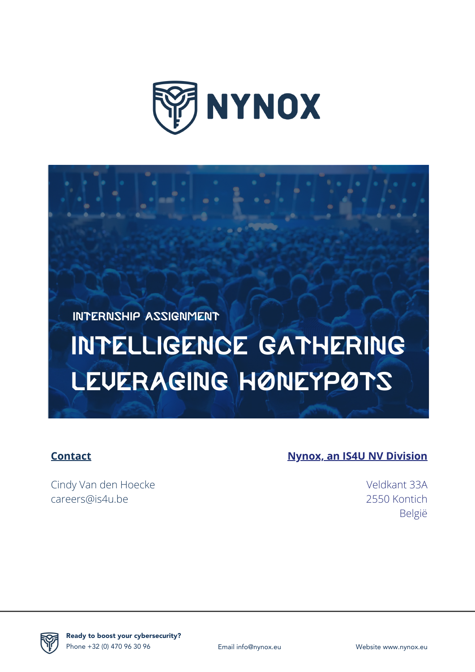



# Intelligence Gathering LEUERAGING HONEYPOTS

#### **Contact**

Cindy Van den Hoecke careers@is4u.be

#### **Nynox, an IS4U NV Division**

Veldkant 33A 2550 Kontich België



Ready to boost your cybersecurity? Phone +32 (0) 470 96 30 96 Email info@nynox.eu Website www.nynox.eu